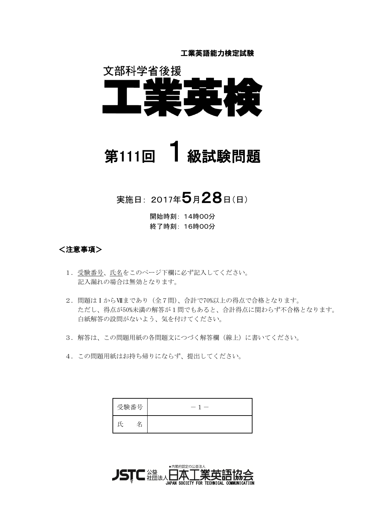工業英語能力検定試験



# 第111回 1級試験問題

# 実施日: 2017年5月28日(日)

開始時刻: 14時00分 終了時刻: 16時00分

<注意事項>

- 1. 受験番号、氏名をこのページ下欄に必ず記入してください。 記入漏れの場合は無効となります。
- 2. 問題はIからⅦまであり(全7問)、合計で70%以上の得点で合格となります。 ただし、得点が50%未満の解答が1問でもあると、合計得点に関わらず不合格となります。 白紙解答の設問がないよう、気を付けてください。
- 3. 解答は、この問題用紙の各問題文につづく解答欄(線上)に書いてください。
- 4. この問題用紙はお持ち帰りにならず、提出してください。

| 受験番号<br>I | $\overline{\phantom{a}}$ |
|-----------|--------------------------|
|           |                          |

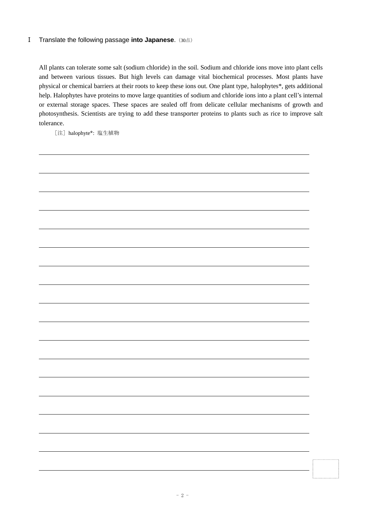### **I** Translate the following passage into Japanese. (30点)

All plants can tolerate some salt (sodium chloride) in the soil. Sodium and chloride ions move into plant cells and between various tissues. But high levels can damage vital biochemical processes. Most plants have physical or chemical barriers at their roots to keep these ions out. One plant type, halophytes\*, gets additional help. Halophytes have proteins to move large quantities of sodium and chloride ions into a plant cell's internal or external storage spaces. These spaces are sealed off from delicate cellular mechanisms of growth and photosynthesis. Scientists are trying to add these transporter proteins to plants such as rice to improve salt tolerance.

[注] halophyte\*: 塩生植物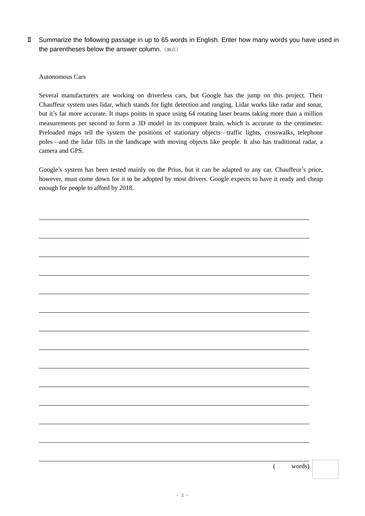Ⅱ Summarize the following passage in up to 65 words in English. Enter how many words you have used in the parentheses below the answer column. (30点)

Autonomous Cars

Several manufacturers are working on driverless cars, but Google has the jump on this project. Their Chauffeur system uses lidar, which stands for light detection and ranging. Lidar works like radar and sonar, but it's far more accurate. It maps points in space using 64 rotating laser beams taking more than a million measurements per second to form a 3D model in its computer brain, which is accurate to the centimeter. Preloaded maps tell the system the positions of stationary objects—traffic lights, crosswalks, telephone poles—and the lidar fills in the landscape with moving objects like people. It also has traditional radar, a camera and GPS.

Google's system has been tested mainly on the Prius, but it can be adapted to any car. Chauffeur's price, however, must come down for it to be adopted by most drivers. Google expects to have it ready and cheap enough for people to afford by 2018.

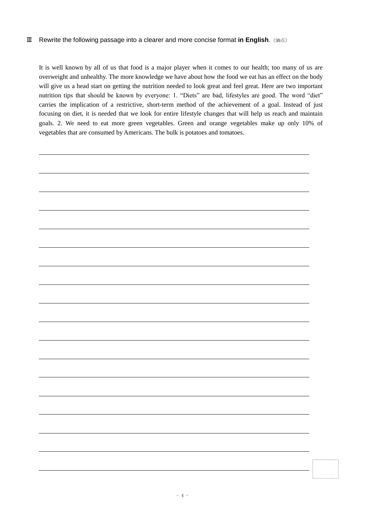#### **III** Rewrite the following passage into a clearer and more concise format in English. (30点)

It is well known by all of us that food is a major player when it comes to our health; too many of us are overweight and unhealthy. The more knowledge we have about how the food we eat has an effect on the body will give us a head start on getting the nutrition needed to look great and feel great. Here are two important nutrition tips that should be known by everyone: 1. "Diets" are bad, lifestyles are good. The word "diet" carries the implication of a restrictive, short-term method of the achievement of a goal. Instead of just focusing on diet, it is needed that we look for entire lifestyle changes that will help us reach and maintain goals. 2. We need to eat more green vegetables. Green and orange vegetables make up only 10% of vegetables that are consumed by Americans. The bulk is potatoes and tomatoes.

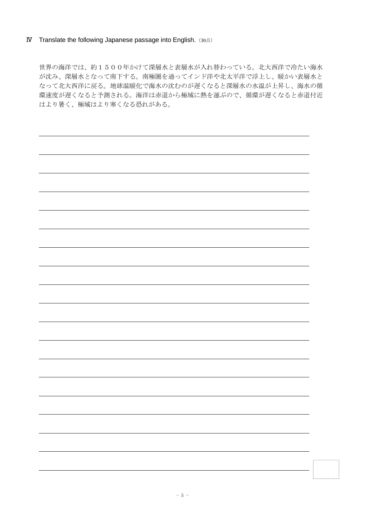#### **IV** Translate the following Japanese passage into English. (30点)

世界の海洋では、約1500年かけて深層水と表層水が入れ替わっている。北大西洋で冷たい海水 が沈み、深層水となって南下する。南極圏を通ってインド洋や北太平洋で浮上し、暖かい表層水と なって北大西洋に戻る。地球温暖化で海水の沈むのが遅くなると深層水の水温が上昇し、海水の循 環速度が遅くなると予測される。海洋は赤道から極域に熱を運ぶので、循環が遅くなると赤道付近 はより暑く、極域はより寒くなる恐れがある。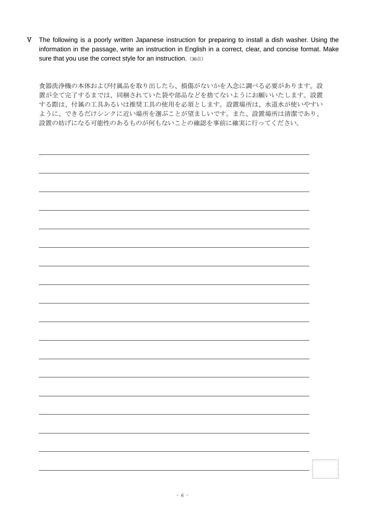V The following is a poorly written Japanese instruction for preparing to install a dish washer. Using the information in the passage, write an instruction in English in a correct, clear, and concise format. Make sure that you use the correct style for an instruction. (30点)

食器洗浄機の本体および付属品を取り出したら、損傷がないかを入念に調べる必要があります。設 置が全て完了するまでは、同梱されていた袋や部品などを捨てないようにお願いいたします。設置 する際は、付属の工具あるいは推奨工具の使用を必須とします。設置場所は、水道水が使いやすい ように、できるだけシンクに近い場所を選ぶことが望ましいです。また、設置場所は清潔であり、 設置の妨げになる可能性のあるものが何もないことの確認を事前に確実に行ってください。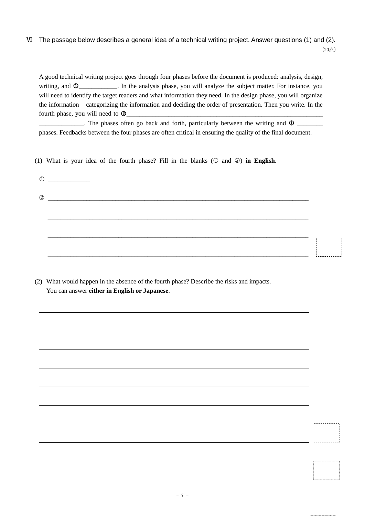# Ⅵ The passage below describes a general idea of a technical writing project. Answer questions (1) and (2). (20点)

A good technical writing project goes through four phases before the document is produced: analysis, design, writing, and  $\Phi$ \_\_\_\_\_\_\_\_\_\_\_\_. In the analysis phase, you will analyze the subject matter. For instance, you will need to identify the target readers and what information they need. In the design phase, you will organize the information – categorizing the information and deciding the order of presentation. Then you write. In the fourth phase, you will need to  $\Phi$ 

 $\Box$ . The phases often go back and forth, particularly between the writing and  $\Box$ phases. Feedbacks between the four phases are often critical in ensuring the quality of the final document.

(1) What is your idea of the fourth phase? Fill in the blanks  $(0 \text{ and } 0)$  in English.

(2) What would happen in the absence of the fourth phase? Describe the risks and impacts. You can answer **either in English or Japanese**.

1. . . . . . . . 1